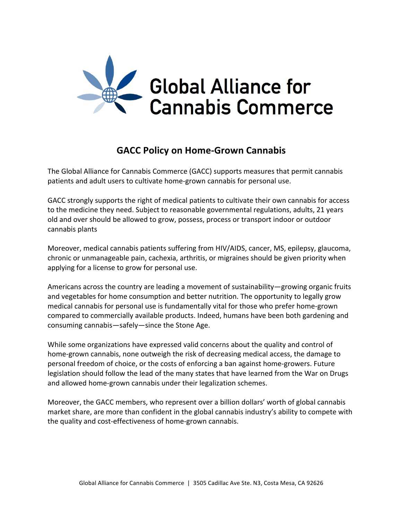

## **GACC Policy on Home-Grown Cannabis**

The Global Alliance for Cannabis Commerce (GACC) supports measures that permit cannabis patients and adult users to cultivate home-grown cannabis for personal use.

GACC strongly supports the right of medical patients to cultivate their own cannabis for access to the medicine they need. Subject to reasonable governmental regulations, adults, 21 years old and over should be allowed to grow, possess, process or transport indoor or outdoor cannabis plants

Moreover, medical cannabis patients suffering from HIV/AIDS, cancer, MS, epilepsy, glaucoma, chronic or unmanageable pain, cachexia, arthritis, or migraines should be given priority when applying for a license to grow for personal use.

Americans across the country are leading a movement of sustainability—growing organic fruits and vegetables for home consumption and better nutrition. The opportunity to legally grow medical cannabis for personal use is fundamentally vital for those who prefer home-grown compared to commercially available products. Indeed, humans have been both gardening and consuming cannabis—safely—since the Stone Age.

While some organizations have expressed valid concerns about the quality and control of home-grown cannabis, none outweigh the risk of decreasing medical access, the damage to personal freedom of choice, or the costs of enforcing a ban against home-growers. Future legislation should follow the lead of the many states that have learned from the War on Drugs and allowed home-grown cannabis under their legalization schemes.

Moreover, the GACC members, who represent over a billion dollars' worth of global cannabis market share, are more than confident in the global cannabis industry's ability to compete with the quality and cost-effectiveness of home-grown cannabis.